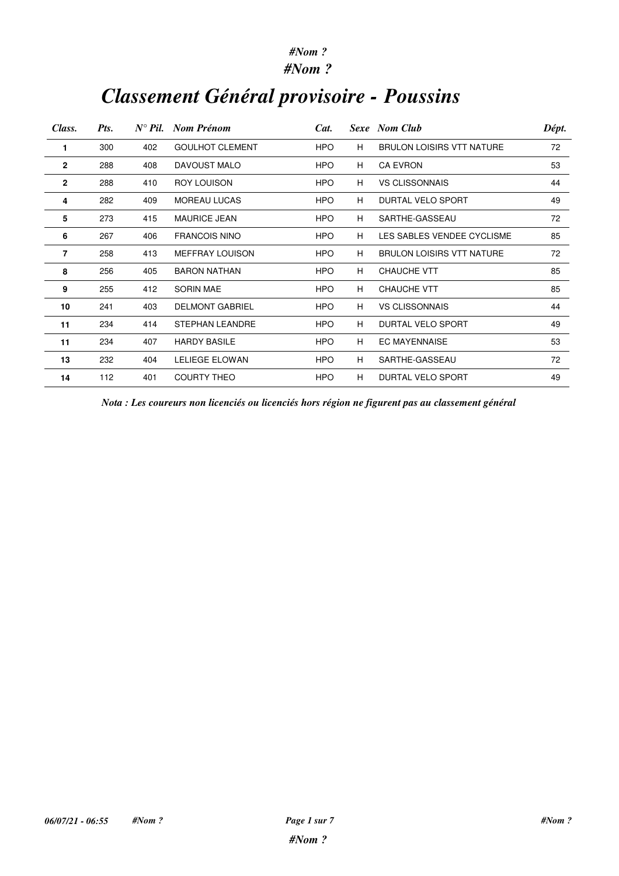### *#Nom ?*

# *Classement Général provisoire - Poussins*

| Class.       | Pts. | $N^{\circ}$ Pil. | Nom Prénom             | Cat.       |   | Sexe Nom Club                    | Dépt. |
|--------------|------|------------------|------------------------|------------|---|----------------------------------|-------|
| 1            | 300  | 402              | <b>GOULHOT CLEMENT</b> | <b>HPO</b> | н | <b>BRULON LOISIRS VTT NATURE</b> | 72    |
| $\mathbf{2}$ | 288  | 408              | DAVOUST MALO           | <b>HPO</b> | H | <b>CA EVRON</b>                  | 53    |
| $\mathbf{2}$ | 288  | 410              | <b>ROY LOUISON</b>     | <b>HPO</b> | H | <b>VS CLISSONNAIS</b>            | 44    |
| 4            | 282  | 409              | <b>MOREAU LUCAS</b>    | <b>HPO</b> | H | DURTAL VELO SPORT                | 49    |
| 5            | 273  | 415              | <b>MAURICE JEAN</b>    | <b>HPO</b> | H | SARTHE-GASSEAU                   | 72    |
| 6            | 267  | 406              | <b>FRANCOIS NINO</b>   | <b>HPO</b> | H | LES SABLES VENDEE CYCLISME       | 85    |
| 7            | 258  | 413              | <b>MEFFRAY LOUISON</b> | <b>HPO</b> | H | <b>BRULON LOISIRS VTT NATURE</b> | 72    |
| 8            | 256  | 405              | <b>BARON NATHAN</b>    | <b>HPO</b> | H | <b>CHAUCHE VTT</b>               | 85    |
| 9            | 255  | 412              | <b>SORIN MAE</b>       | <b>HPO</b> | H | <b>CHAUCHE VTT</b>               | 85    |
| 10           | 241  | 403              | <b>DELMONT GABRIEL</b> | <b>HPO</b> | H | <b>VS CLISSONNAIS</b>            | 44    |
| 11           | 234  | 414              | <b>STEPHAN LEANDRE</b> | <b>HPO</b> | H | DURTAL VELO SPORT                | 49    |
| 11           | 234  | 407              | <b>HARDY BASILE</b>    | <b>HPO</b> | H | <b>EC MAYENNAISE</b>             | 53    |
| 13           | 232  | 404              | LELIEGE ELOWAN         | <b>HPO</b> | H | SARTHE-GASSEAU                   | 72    |
| 14           | 112  | 401              | <b>COURTY THEO</b>     | <b>HPO</b> | H | <b>DURTAL VELO SPORT</b>         | 49    |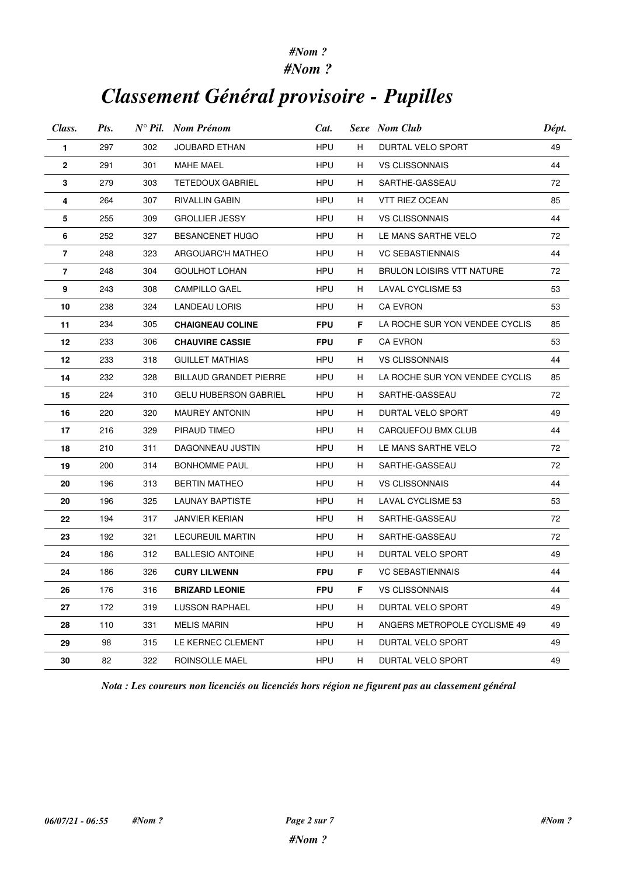### *#Nom ?*

## *Classement Général provisoire - Pupilles*

| Class. | Pts. |     | $N^{\circ}$ Pil. Nom Prénom   | Cat.       |    | Sexe Nom Club                    |    |
|--------|------|-----|-------------------------------|------------|----|----------------------------------|----|
| 1      | 297  | 302 | JOUBARD ETHAN                 | <b>HPU</b> | H. | DURTAL VELO SPORT                | 49 |
| 2      | 291  | 301 | <b>MAHE MAEL</b>              | HPU        | H. | <b>VS CLISSONNAIS</b>            | 44 |
| 3      | 279  | 303 | <b>TETEDOUX GABRIEL</b>       | HPU        | H  | SARTHE-GASSEAU                   | 72 |
| 4      | 264  | 307 | RIVALLIN GABIN                | HPU        | H  | VTT RIEZ OCEAN                   | 85 |
| 5      | 255  | 309 | <b>GROLLIER JESSY</b>         | HPU        | H. | <b>VS CLISSONNAIS</b>            | 44 |
| 6      | 252  | 327 | <b>BESANCENET HUGO</b>        | HPU        | H  | LE MANS SARTHE VELO              | 72 |
| 7      | 248  | 323 | ARGOUARC'H MATHEO             | HPU.       | H. | <b>VC SEBASTIENNAIS</b>          | 44 |
| 7      | 248  | 304 | <b>GOULHOT LOHAN</b>          | HPU        | H  | <b>BRULON LOISIRS VTT NATURE</b> | 72 |
| 9      | 243  | 308 | <b>CAMPILLO GAEL</b>          | HPU        | H. | LAVAL CYCLISME 53                | 53 |
| 10     | 238  | 324 | LANDEAU LORIS                 | HPU        | H  | CA EVRON                         | 53 |
| 11     | 234  | 305 | <b>CHAIGNEAU COLINE</b>       | <b>FPU</b> | F  | LA ROCHE SUR YON VENDEE CYCLIS   | 85 |
| 12     | 233  | 306 | <b>CHAUVIRE CASSIE</b>        | <b>FPU</b> | F. | <b>CA EVRON</b>                  | 53 |
| 12     | 233  | 318 | <b>GUILLET MATHIAS</b>        | HPU        | H  | <b>VS CLISSONNAIS</b>            | 44 |
| 14     | 232  | 328 | <b>BILLAUD GRANDET PIERRE</b> | HPU        | H  | LA ROCHE SUR YON VENDEE CYCLIS   | 85 |
| 15     | 224  | 310 | <b>GELU HUBERSON GABRIEL</b>  | HPU        | H. | SARTHE-GASSEAU                   | 72 |
| 16     | 220  | 320 | <b>MAUREY ANTONIN</b>         | HPU        | H  | DURTAL VELO SPORT                | 49 |
| 17     | 216  | 329 | PIRAUD TIMEO                  | HPU        | H. | CARQUEFOU BMX CLUB               | 44 |
| 18     | 210  | 311 | DAGONNEAU JUSTIN              | HPU        | H. | LE MANS SARTHE VELO              | 72 |
| 19     | 200  | 314 | <b>BONHOMME PAUL</b>          | HPU        | H. | SARTHE-GASSEAU                   | 72 |
| 20     | 196  | 313 | <b>BERTIN MATHEO</b>          | HPU        | H  | <b>VS CLISSONNAIS</b>            | 44 |
| 20     | 196  | 325 | LAUNAY BAPTISTE               | HPU        | H. | LAVAL CYCLISME 53                | 53 |
| 22     | 194  | 317 | JANVIER KERIAN                | HPU        | H  | SARTHE-GASSEAU                   | 72 |
| 23     | 192  | 321 | <b>LECUREUIL MARTIN</b>       | HPU        | H. | SARTHE-GASSEAU                   | 72 |
| 24     | 186  | 312 | <b>BALLESIO ANTOINE</b>       | HPU        | H  | DURTAL VELO SPORT                | 49 |
| 24     | 186  | 326 | <b>CURY LILWENN</b>           | <b>FPU</b> | F. | <b>VC SEBASTIENNAIS</b>          | 44 |
| 26     | 176  | 316 | <b>BRIZARD LEONIE</b>         | <b>FPU</b> | F  | <b>VS CLISSONNAIS</b>            | 44 |
| 27     | 172  | 319 | <b>LUSSON RAPHAEL</b>         | <b>HPU</b> | H  | DURTAL VELO SPORT                | 49 |
| 28     | 110  | 331 | <b>MELIS MARIN</b>            | <b>HPU</b> | H  | ANGERS METROPOLE CYCLISME 49     | 49 |
| 29     | 98   | 315 | LE KERNEC CLEMENT             | <b>HPU</b> | H  | DURTAL VELO SPORT                | 49 |
| 30     | 82   | 322 | ROINSOLLE MAEL                | <b>HPU</b> | H  | DURTAL VELO SPORT                | 49 |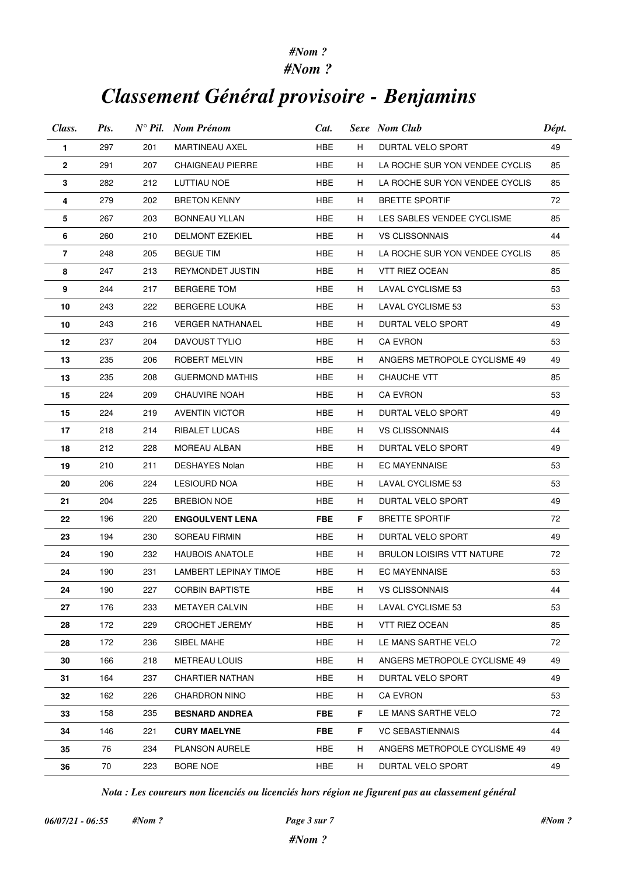### *#Nom ?*

## *Classement Général provisoire - Benjamins*

| Class.       | Pts. |     | $N^{\circ}$ Pil. Nom Prénom | Cat.       | Sexe Nom Club |                                | Dépt. |
|--------------|------|-----|-----------------------------|------------|---------------|--------------------------------|-------|
| 1            | 297  | 201 | <b>MARTINEAU AXEL</b>       | HBE        | H             | DURTAL VELO SPORT              | 49    |
| $\mathbf{2}$ | 291  | 207 | <b>CHAIGNEAU PIERRE</b>     | HBE        | H.            | LA ROCHE SUR YON VENDEE CYCLIS | 85    |
| 3            | 282  | 212 | LUTTIAU NOE                 | HBE        | H             | LA ROCHE SUR YON VENDEE CYCLIS | 85    |
| 4            | 279  | 202 | <b>BRETON KENNY</b>         | HBE        | H             | <b>BRETTE SPORTIF</b>          | 72    |
| 5            | 267  | 203 | <b>BONNEAU YLLAN</b>        | HBE        | H.            | LES SABLES VENDEE CYCLISME     | 85    |
| 6            | 260  | 210 | <b>DELMONT EZEKIEL</b>      | HBE        | H             | <b>VS CLISSONNAIS</b>          | 44    |
| 7            | 248  | 205 | <b>BEGUE TIM</b>            | HBE        | H             | LA ROCHE SUR YON VENDEE CYCLIS | 85    |
| 8            | 247  | 213 | REYMONDET JUSTIN            | HBE        | H             | VTT RIEZ OCEAN                 | 85    |
| 9            | 244  | 217 | BERGERE TOM                 | HBE        | H             | LAVAL CYCLISME 53              | 53    |
| 10           | 243  | 222 | <b>BERGERE LOUKA</b>        | HBE        | H.            | LAVAL CYCLISME 53              | 53    |
| 10           | 243  | 216 | <b>VERGER NATHANAEL</b>     | HBE        | H             | DURTAL VELO SPORT              | 49    |
| 12           | 237  | 204 | DAVOUST TYLIO               | HBE        | H             | <b>CA EVRON</b>                | 53    |
| 13           | 235  | 206 | ROBERT MELVIN               | HBE        | H             | ANGERS METROPOLE CYCLISME 49   | 49    |
| 13           | 235  | 208 | <b>GUERMOND MATHIS</b>      | HBE        | H.            | CHAUCHE VTT                    | 85    |
| 15           | 224  | 209 | <b>CHAUVIRE NOAH</b>        | HBE        | H             | <b>CA EVRON</b>                | 53    |
| 15           | 224  | 219 | <b>AVENTIN VICTOR</b>       | HBE        | H             | DURTAL VELO SPORT              | 49    |
| 17           | 218  | 214 | RIBALET LUCAS               | HBE        | H.            | <b>VS CLISSONNAIS</b>          | 44    |
| 18           | 212  | 228 | MOREAU ALBAN                | HBE        | H             | DURTAL VELO SPORT              | 49    |
| 19           | 210  | 211 | <b>DESHAYES Nolan</b>       | HBE        | H.            | EC MAYENNAISE                  | 53    |
| 20           | 206  | 224 | LESIOURD NOA                | HBE        | H             | LAVAL CYCLISME 53              | 53    |
| 21           | 204  | 225 | <b>BREBION NOE</b>          | HBE        | H             | DURTAL VELO SPORT              | 49    |
| 22           | 196  | 220 | <b>ENGOULVENT LENA</b>      | <b>FBE</b> | F.            | <b>BRETTE SPORTIF</b>          | 72    |
| 23           | 194  | 230 | SOREAU FIRMIN               | HBE        | H.            | DURTAL VELO SPORT              | 49    |
| 24           | 190  | 232 | <b>HAUBOIS ANATOLE</b>      | HBE        | H             | BRULON LOISIRS VTT NATURE      | 72    |
| 24           | 190  | 231 | LAMBERT LEPINAY TIMOE       | HBE        | H.            | <b>EC MAYENNAISE</b>           | 53    |
| 24           | 190  | 227 | <b>CORBIN BAPTISTE</b>      | HBE        | H             | <b>VS CLISSONNAIS</b>          | 44    |
| 27           | 176  | 233 | <b>METAYER CALVIN</b>       | HBE        | H             | LAVAL CYCLISME 53              | 53    |
| 28           | 172  | 229 | <b>CROCHET JEREMY</b>       | HBE        | H             | VTT RIEZ OCEAN                 | 85    |
| 28           | 172  | 236 | SIBEL MAHE                  | <b>HBE</b> | H             | LE MANS SARTHE VELO            | 72    |
| 30           | 166  | 218 | <b>METREAU LOUIS</b>        | HBE        | H             | ANGERS METROPOLE CYCLISME 49   | 49    |
| 31           | 164  | 237 | <b>CHARTIER NATHAN</b>      | <b>HBE</b> | H             | DURTAL VELO SPORT              | 49    |
| 32           | 162  | 226 | <b>CHARDRON NINO</b>        | <b>HBE</b> | H             | <b>CA EVRON</b>                | 53    |
| 33           | 158  | 235 | <b>BESNARD ANDREA</b>       | <b>FBE</b> | F.            | LE MANS SARTHE VELO            | 72    |
| 34           | 146  | 221 | <b>CURY MAELYNE</b>         | <b>FBE</b> | F.            | <b>VC SEBASTIENNAIS</b>        | 44    |
| 35           | 76   | 234 | <b>PLANSON AURELE</b>       | HBE        | H             | ANGERS METROPOLE CYCLISME 49   | 49    |
| 36           | 70   | 223 | BORE NOE                    | <b>HBE</b> | H.            | DURTAL VELO SPORT              | 49    |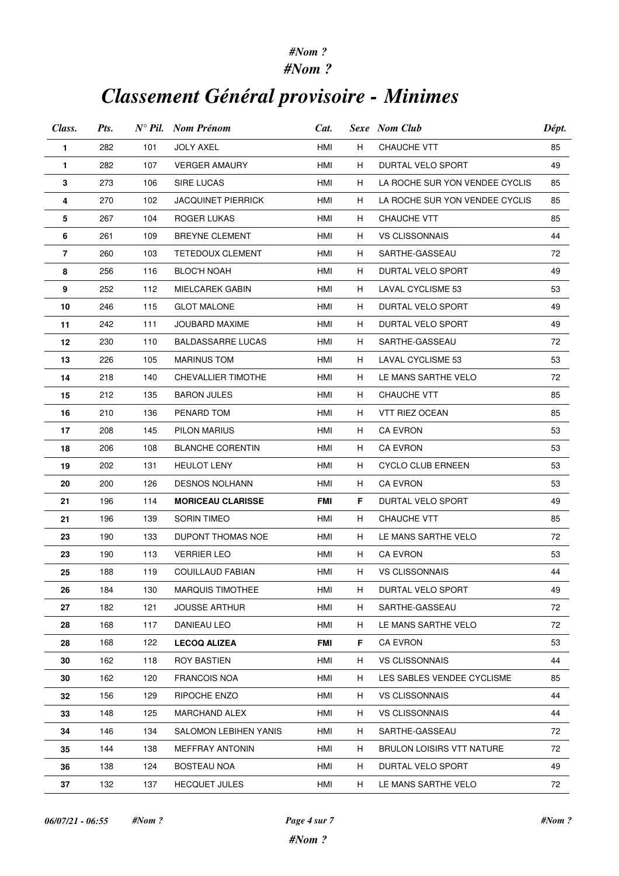#### *#Nom ? #Nom ?*

# *Classement Général provisoire - Minimes*

| Class.         | Pts. |     | $N^{\circ}$ Pil. Nom Prénom | Cat. |    | <b>Sexe</b> Nom Club           | Dépt. |
|----------------|------|-----|-----------------------------|------|----|--------------------------------|-------|
| 1              | 282  | 101 | <b>JOLY AXEL</b>            | HMI  | H  | <b>CHAUCHE VTT</b>             | 85    |
| 1              | 282  | 107 | <b>VERGER AMAURY</b>        | HMI  | H. | DURTAL VELO SPORT              | 49    |
| 3              | 273  | 106 | <b>SIRE LUCAS</b>           | HMI  | H. | LA ROCHE SUR YON VENDEE CYCLIS | 85    |
| 4              | 270  | 102 | JACQUINET PIERRICK          | HMI  | H  | LA ROCHE SUR YON VENDEE CYCLIS | 85    |
| 5              | 267  | 104 | ROGER LUKAS                 | HMI  | H  | <b>CHAUCHE VTT</b>             | 85    |
| 6              | 261  | 109 | <b>BREYNE CLEMENT</b>       | HMI  | H  | <b>VS CLISSONNAIS</b>          | 44    |
| $\overline{7}$ | 260  | 103 | <b>TETEDOUX CLEMENT</b>     | HMI  | H  | SARTHE-GASSEAU                 | 72    |
| 8              | 256  | 116 | <b>BLOC'H NOAH</b>          | HMI  | H  | DURTAL VELO SPORT              | 49    |
| 9              | 252  | 112 | MIELCAREK GABIN             | HMI  | H  | LAVAL CYCLISME 53              | 53    |
| 10             | 246  | 115 | <b>GLOT MALONE</b>          | HMI  | H  | DURTAL VELO SPORT              | 49    |
| 11             | 242  | 111 | JOUBARD MAXIME              | HMI  | H  | DURTAL VELO SPORT              | 49    |
| 12             | 230  | 110 | <b>BALDASSARRE LUCAS</b>    | HMI  | H  | SARTHE-GASSEAU                 | 72    |
| 13             | 226  | 105 | <b>MARINUS TOM</b>          | HMI  | H  | <b>LAVAL CYCLISME 53</b>       | 53    |
| 14             | 218  | 140 | CHEVALLIER TIMOTHE          | HMI  | H  | LE MANS SARTHE VELO            | 72    |
| 15             | 212  | 135 | <b>BARON JULES</b>          | HMI  | H  | <b>CHAUCHE VTT</b>             | 85    |
| 16             | 210  | 136 | PENARD TOM                  | HMI  | H  | VTT RIEZ OCEAN                 | 85    |
| 17             | 208  | 145 | PILON MARIUS                | HMI  | H  | <b>CA EVRON</b>                | 53    |
| 18             | 206  | 108 | <b>BLANCHE CORENTIN</b>     | HMI  | H  | <b>CA EVRON</b>                | 53    |
| 19             | 202  | 131 | <b>HEULOT LENY</b>          | HMI  | H  | CYCLO CLUB ERNEEN              | 53    |
| 20             | 200  | 126 | <b>DESNOS NOLHANN</b>       | HMI  | H  | <b>CA EVRON</b>                | 53    |
| 21             | 196  | 114 | <b>MORICEAU CLARISSE</b>    | FMI  | F  | DURTAL VELO SPORT              | 49    |
| 21             | 196  | 139 | <b>SORIN TIMEO</b>          | HMI  | H  | <b>CHAUCHE VTT</b>             | 85    |
| 23             | 190  | 133 | DUPONT THOMAS NOE           | HMI  | H  | LE MANS SARTHE VELO            | 72    |
| 23             | 190  | 113 | <b>VERRIER LEO</b>          | HMI  | H  | <b>CA EVRON</b>                | 53    |
| 25             | 188  | 119 | <b>COUILLAUD FABIAN</b>     | HMI  | H  | <b>VS CLISSONNAIS</b>          | 44    |
| 26             | 184  | 130 | <b>MARQUIS TIMOTHEE</b>     | HMI  | H  | DURTAL VELO SPORT              | 49    |
| 27             | 182  | 121 | <b>JOUSSE ARTHUR</b>        | HMI  | H  | SARTHE-GASSEAU                 | 72    |
| 28             | 168  | 117 | DANIEAU LEO                 | HMI  | H  | LE MANS SARTHE VELO            | 72    |
| 28             | 168  | 122 | <b>LECOQ ALIZEA</b>         | FMI  | F. | <b>CA EVRON</b>                | 53    |
| 30             | 162  | 118 | <b>ROY BASTIEN</b>          | HMI  | H  | <b>VS CLISSONNAIS</b>          | 44    |
| 30             | 162  | 120 | <b>FRANCOIS NOA</b>         | HMI  | H  | LES SABLES VENDEE CYCLISME     | 85    |
| 32             | 156  | 129 | RIPOCHE ENZO                | HMI  | H  | <b>VS CLISSONNAIS</b>          | 44    |
| 33             | 148  | 125 | <b>MARCHAND ALEX</b>        | HMI  | H  | <b>VS CLISSONNAIS</b>          | 44    |
| 34             | 146  | 134 | SALOMON LEBIHEN YANIS       | HMI  | H  | SARTHE-GASSEAU                 | 72    |
| 35             | 144  | 138 | <b>MEFFRAY ANTONIN</b>      | HMI  | H  | BRULON LOISIRS VTT NATURE      | 72    |
| 36             | 138  | 124 | <b>BOSTEAU NOA</b>          | HMI  | H  | DURTAL VELO SPORT              | 49    |
| 37             | 132  | 137 | <b>HECQUET JULES</b>        | HMI  | H  | LE MANS SARTHE VELO            | 72    |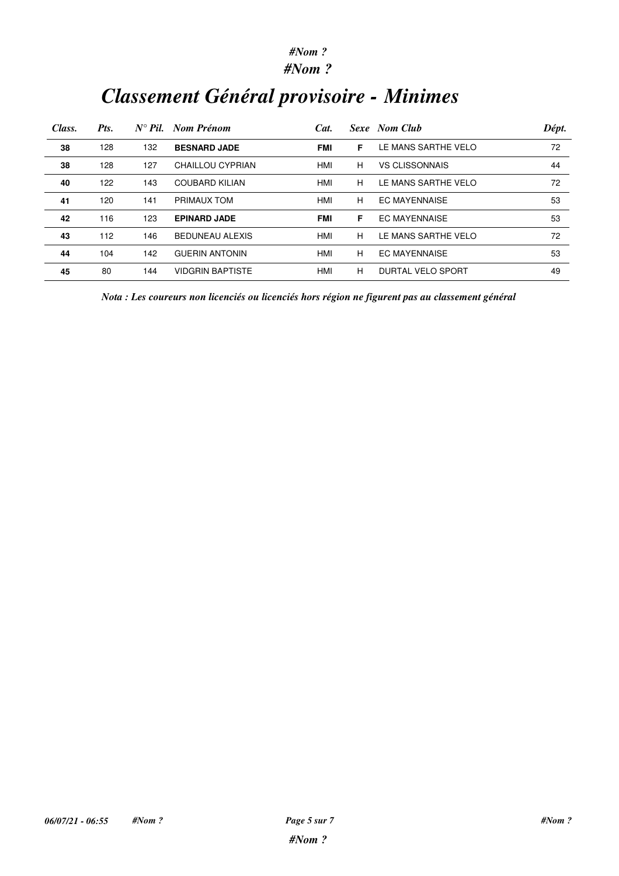*#Nom ?*

# *Classement Général provisoire - Minimes*

| Class. | Pts. | $N^{\circ}$ Pil. | Nom Prénom              | Cat.       |   | Sexe Nom Club         | Dépt. |
|--------|------|------------------|-------------------------|------------|---|-----------------------|-------|
| 38     | 128  | 132              | <b>BESNARD JADE</b>     | <b>FMI</b> | F | LE MANS SARTHE VELO   | 72    |
| 38     | 128  | 127              | CHAILLOU CYPRIAN        | HMI        | н | <b>VS CLISSONNAIS</b> | 44    |
| 40     | 122  | 143              | <b>COUBARD KILIAN</b>   | HMI        | н | LE MANS SARTHE VELO   | 72    |
| 41     | 120  | 141              | PRIMAUX TOM             | HMI        | н | <b>EC MAYENNAISE</b>  | 53    |
| 42     | 116  | 123              | <b>EPINARD JADE</b>     | <b>FMI</b> | F | <b>EC MAYENNAISE</b>  | 53    |
| 43     | 112  | 146              | <b>BEDUNEAU ALEXIS</b>  | HMI        | н | LE MANS SARTHE VELO   | 72    |
| 44     | 104  | 142              | <b>GUERIN ANTONIN</b>   | HMI        | н | <b>EC MAYENNAISE</b>  | 53    |
| 45     | 80   | 144              | <b>VIDGRIN BAPTISTE</b> | HMI        | н | DURTAL VELO SPORT     | 49    |

*Nota : Les coureurs non licenciés ou licenciés hors région ne figurent pas au classement général*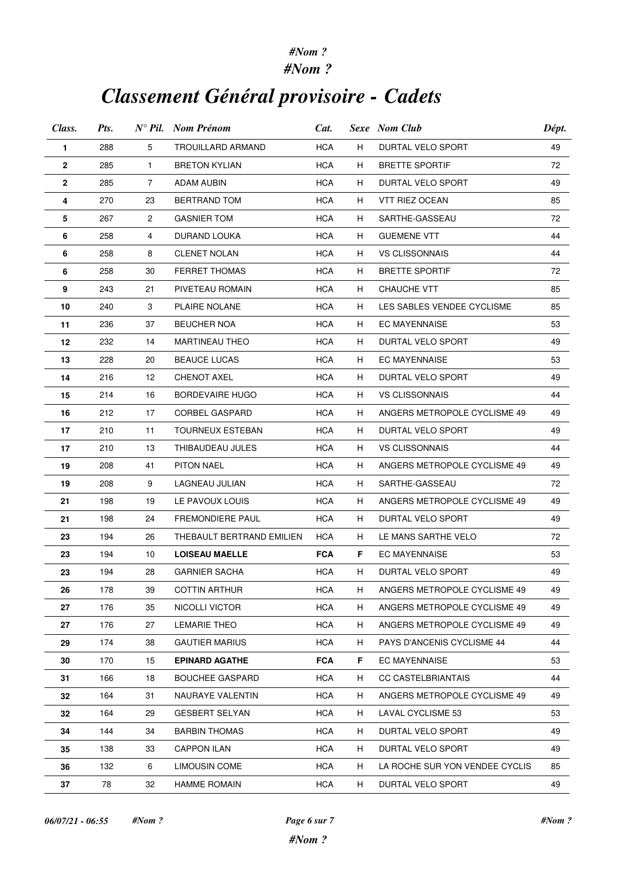#### *#Nom ? #Nom ?*

# *Classement Général provisoire - Cadets*

| Class.      | Pts. |                | $N^{\circ}$ Pil. Nom Prénom | Cat.             |    | Sexe Nom Club                  | Dépt. |
|-------------|------|----------------|-----------------------------|------------------|----|--------------------------------|-------|
| 1           | 288  | 5              | <b>TROUILLARD ARMAND</b>    | <b>HCA</b>       | H. | DURTAL VELO SPORT              | 49    |
| 2           | 285  | $\mathbf{1}$   | <b>BRETON KYLIAN</b>        | <b>HCA</b>       | H. | <b>BRETTE SPORTIF</b>          | 72    |
| $\mathbf 2$ | 285  | $\overline{7}$ | ADAM AUBIN                  | <b>HCA</b>       | H. | DURTAL VELO SPORT              | 49    |
| 4           | 270  | 23             | BERTRAND TOM                | <b>HCA</b>       | H  | VTT RIEZ OCEAN                 | 85    |
| 5           | 267  | $\overline{2}$ | <b>GASNIER TOM</b>          | <b>HCA</b>       | H. | SARTHE-GASSEAU                 | 72    |
| 6           | 258  | 4              | DURAND LOUKA                | <b>HCA</b>       | H  | <b>GUEMENE VTT</b>             | 44    |
| 6           | 258  | 8              | <b>CLENET NOLAN</b>         | <b>HCA</b>       | H. | VS CLISSONNAIS                 | 44    |
| 6           | 258  | 30             | <b>FERRET THOMAS</b>        | <b>HCA</b>       | H  | <b>BRETTE SPORTIF</b>          | 72    |
| 9           | 243  | 21             | PIVETEAU ROMAIN             | <b>HCA</b>       | H. | <b>CHAUCHE VTT</b>             | 85    |
| 10          | 240  | 3              | PLAIRE NOLANE               | HCA              | H. | LES SABLES VENDEE CYCLISME     | 85    |
| 11          | 236  | 37             | <b>BEUCHER NOA</b>          | <b>HCA</b>       | H  | <b>EC MAYENNAISE</b>           | 53    |
| 12          | 232  | 14             | <b>MARTINEAU THEO</b>       | <b>HCA</b>       | H. | DURTAL VELO SPORT              | 49    |
| 13          | 228  | 20             | <b>BEAUCE LUCAS</b>         | HCA              | H  | EC MAYENNAISE                  | 53    |
| 14          | 216  | 12             | <b>CHENOT AXEL</b>          | <b>HCA</b>       | H. | DURTAL VELO SPORT              | 49    |
| 15          | 214  | 16             | <b>BORDEVAIRE HUGO</b>      | <b>HCA</b>       | H  | <b>VS CLISSONNAIS</b>          | 44    |
| 16          | 212  | 17             | CORBEL GASPARD              | <b>HCA</b>       | H  | ANGERS METROPOLE CYCLISME 49   | 49    |
| 17          | 210  | 11             | <b>TOURNEUX ESTEBAN</b>     | <b>HCA</b>       | H. | DURTAL VELO SPORT              | 49    |
| 17          | 210  | 13             | THIBAUDEAU JULES            | <b>HCA</b>       | H  | <b>VS CLISSONNAIS</b>          | 44    |
| 19          | 208  | 41             | PITON NAEL                  | <b>HCA</b>       | H. | ANGERS METROPOLE CYCLISME 49   | 49    |
| 19          | 208  | 9              | LAGNEAU JULIAN              | <b>HCA</b><br>H. |    | SARTHE-GASSEAU                 | 72    |
| 21          | 198  | 19             | LE PAVOUX LOUIS             | <b>HCA</b>       | H  | ANGERS METROPOLE CYCLISME 49   | 49    |
| 21          | 198  | 24             | FREMONDIERE PAUL            | HCA              | H  | DURTAL VELO SPORT              | 49    |
| 23          | 194  | 26             | THEBAULT BERTRAND EMILIEN   | <b>HCA</b>       | H. | LE MANS SARTHE VELO            | 72    |
| 23          | 194  | 10             | <b>LOISEAU MAELLE</b>       | <b>FCA</b>       | F  | <b>EC MAYENNAISE</b>           | 53    |
| 23          | 194  | 28             | <b>GARNIER SACHA</b>        | <b>HCA</b>       | H  | DURTAL VELO SPORT              | 49    |
| 26          | 178  | 39             | <b>COTTIN ARTHUR</b>        | <b>HCA</b>       | H  | ANGERS METROPOLE CYCLISME 49   | 49    |
| 27          | 176  | 35             | NICOLLI VICTOR              | <b>HCA</b>       | H  | ANGERS METROPOLE CYCLISME 49   | 49    |
| 27          | 176  | 27             | <b>LEMARIE THEO</b>         | HCA              | H. | ANGERS METROPOLE CYCLISME 49   | 49    |
| 29          | 174  | 38             | <b>GAUTIER MARIUS</b>       | <b>HCA</b>       | H. | PAYS D'ANCENIS CYCLISME 44     | 44    |
| 30          | 170  | 15             | <b>EPINARD AGATHE</b>       | <b>FCA</b>       | F. | <b>EC MAYENNAISE</b>           | 53    |
| 31          | 166  | 18             | <b>BOUCHEE GASPARD</b>      | <b>HCA</b>       | H. | CC CASTELBRIANTAIS             | 44    |
| 32          | 164  | 31             | NAURAYE VALENTIN            | <b>HCA</b>       | H  | ANGERS METROPOLE CYCLISME 49   | 49    |
| 32          | 164  | 29             | <b>GESBERT SELYAN</b>       | <b>HCA</b>       | H  | LAVAL CYCLISME 53              | 53    |
| 34          | 144  | 34             | <b>BARBIN THOMAS</b>        | HCA              | H. | DURTAL VELO SPORT              | 49    |
| 35          | 138  | 33             | <b>CAPPON ILAN</b>          | <b>HCA</b>       | H  | DURTAL VELO SPORT              | 49    |
| 36          | 132  | 6              | LIMOUSIN COME               | <b>HCA</b>       | H  | LA ROCHE SUR YON VENDEE CYCLIS | 85    |
| 37          | 78   | 32             | <b>HAMME ROMAIN</b>         | <b>HCA</b>       | H  | DURTAL VELO SPORT              | 49    |